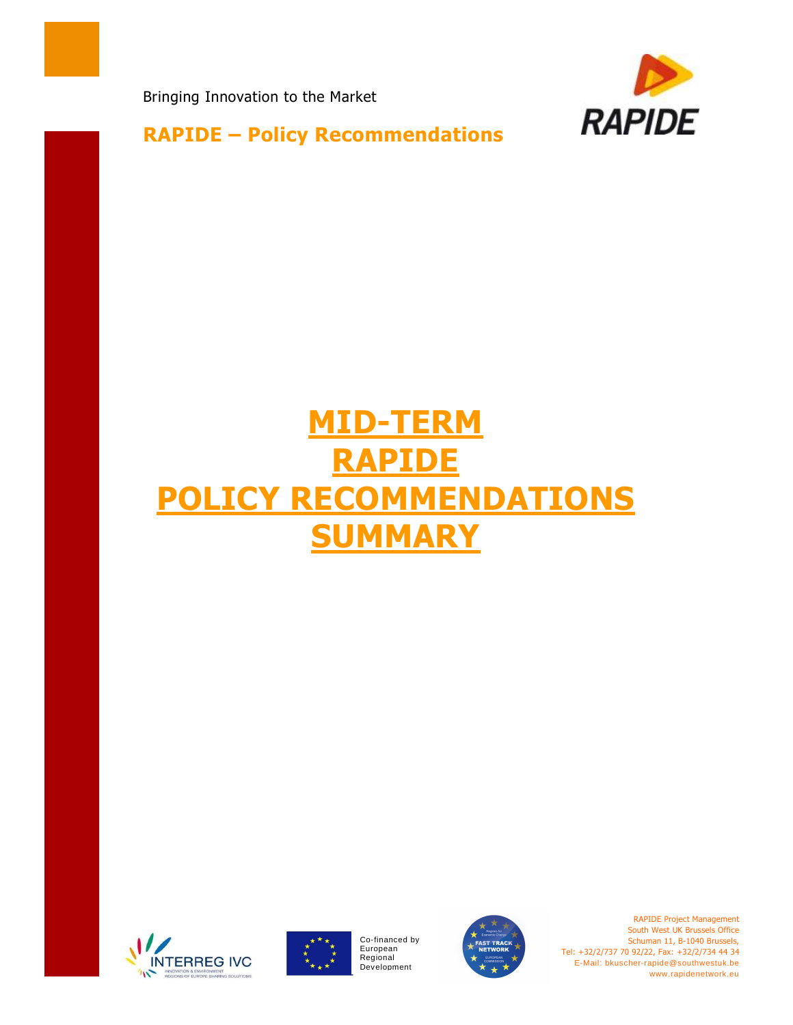Bringing Innovation to the Market



**RAPIDE – Policy Recommendations** 

## **MID-TERM RAPIDE POLICY RECOMMENDATIONS SUMMARY**





Co-financed by European Regional<br>Development



RAPIDE Project Management South West UK Brussels Office Schuman 11, B-1040 Brussels, Tel: +32/2/737 70 92/22, Fax: +32/2/734 44 34 E-Mail: bkuscher-rapide@southwestuk.be www.rapidenetwork.eu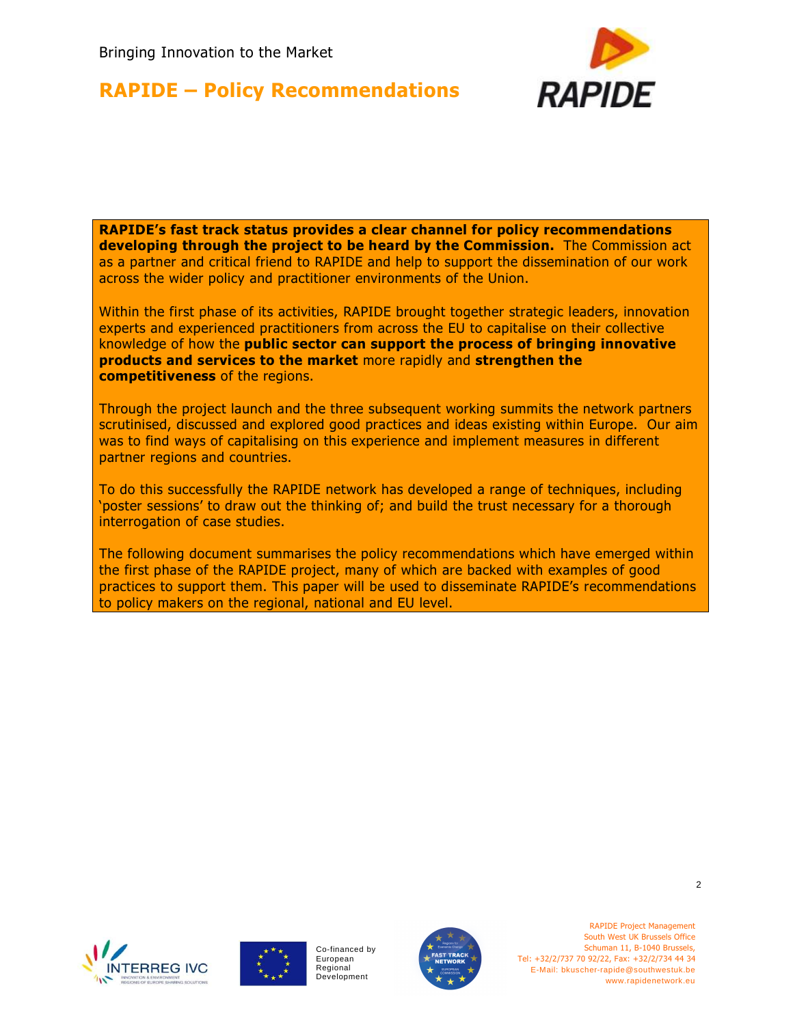# **RAPIDE**

## **RAPIDE – Policy Recommendations**

**RAPIDE's fast track status provides a clear channel for policy recommendations developing through the project to be heard by the Commission.** The Commission act as a partner and critical friend to RAPIDE and help to support the dissemination of our work across the wider policy and practitioner environments of the Union.

Within the first phase of its activities, RAPIDE brought together strategic leaders, innovation experts and experienced practitioners from across the EU to capitalise on their collective knowledge of how the **public sector can support the process of bringing innovative products and services to the market** more rapidly and **strengthen the competitiveness** of the regions.

Through the project launch and the three subsequent working summits the network partners scrutinised, discussed and explored good practices and ideas existing within Europe. Our aim was to find ways of capitalising on this experience and implement measures in different partner regions and countries.

To do this successfully the RAPIDE network has developed a range of techniques, including 'poster sessions' to draw out the thinking of; and build the trust necessary for a thorough interrogation of case studies.

The following document summarises the policy recommendations which have emerged within the first phase of the RAPIDE project, many of which are backed with examples of good practices to support them. This paper will be used to disseminate RAPIDE's recommendations to policy makers on the regional, national and EU level.







RAPIDE Project Management South West UK Brussels Office Schuman 11, B-1040 Brussels, Tel: +32/2/737 70 92/22, Fax: +32/2/734 44 34 E-Mail: bkuscher-rapide@southwestuk.be www.rapidenetwork.eu

 $\mathfrak{p}$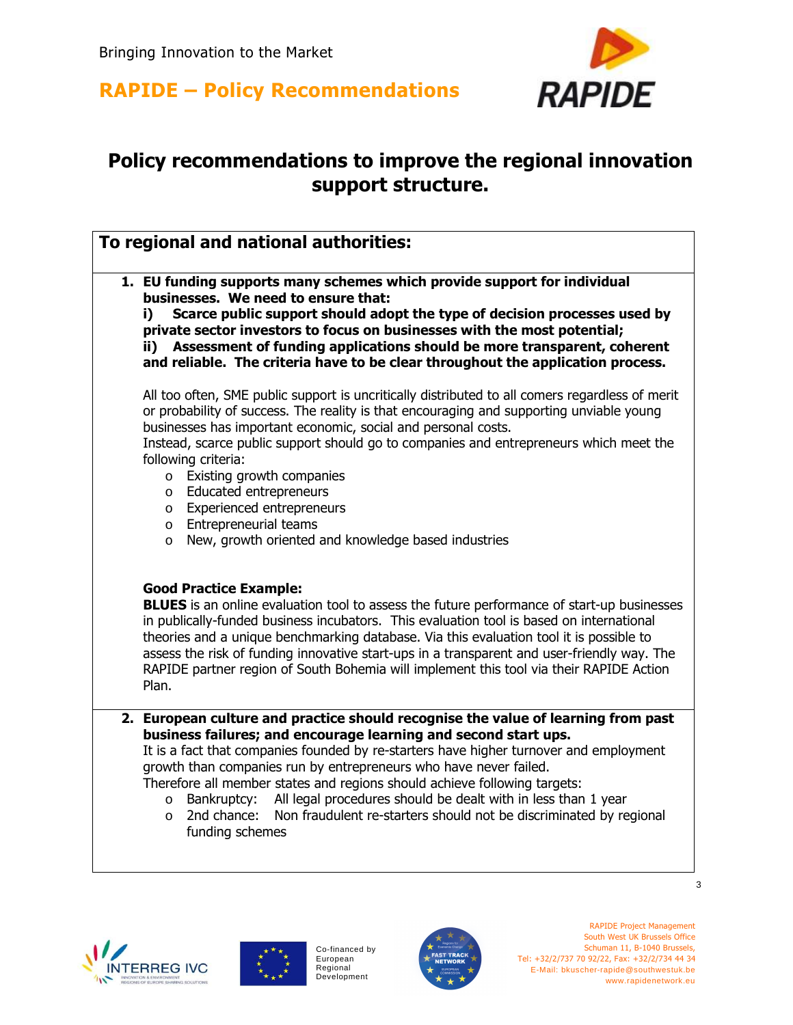



## **Policy recommendations to improve the regional innovation support structure.**

| To regional and national authorities:                                                                                                                                                                                                                                                                                                                                                                                                                                                                                                                                                                       |  |  |
|-------------------------------------------------------------------------------------------------------------------------------------------------------------------------------------------------------------------------------------------------------------------------------------------------------------------------------------------------------------------------------------------------------------------------------------------------------------------------------------------------------------------------------------------------------------------------------------------------------------|--|--|
| 1. EU funding supports many schemes which provide support for individual<br>businesses. We need to ensure that:<br>Scarce public support should adopt the type of decision processes used by<br>i)<br>private sector investors to focus on businesses with the most potential;<br>ii) Assessment of funding applications should be more transparent, coherent<br>and reliable. The criteria have to be clear throughout the application process.                                                                                                                                                            |  |  |
| All too often, SME public support is uncritically distributed to all comers regardless of merit<br>or probability of success. The reality is that encouraging and supporting unviable young<br>businesses has important economic, social and personal costs.<br>Instead, scarce public support should go to companies and entrepreneurs which meet the<br>following criteria:<br>o Existing growth companies<br>o Educated entrepreneurs<br>o Experienced entrepreneurs<br>o Entrepreneurial teams<br>New, growth oriented and knowledge based industries<br>$\circ$                                        |  |  |
| <b>Good Practice Example:</b><br><b>BLUES</b> is an online evaluation tool to assess the future performance of start-up businesses<br>in publically-funded business incubators. This evaluation tool is based on international<br>theories and a unique benchmarking database. Via this evaluation tool it is possible to<br>assess the risk of funding innovative start-ups in a transparent and user-friendly way. The<br>RAPIDE partner region of South Bohemia will implement this tool via their RAPIDE Action<br>Plan.                                                                                |  |  |
| 2. European culture and practice should recognise the value of learning from past<br>business failures; and encourage learning and second start ups.<br>It is a fact that companies founded by re-starters have higher turnover and employment<br>growth than companies run by entrepreneurs who have never failed.<br>Therefore all member states and regions should achieve following targets:<br>Bankruptcy: All legal procedures should be dealt with in less than 1 year<br>$\circ$<br>2nd chance:<br>Non fraudulent re-starters should not be discriminated by regional<br>$\circ$<br>funding schemes |  |  |





Co-financed by European Regional Development



RAPIDE Project Management South West UK Brussels Office Schuman 11, B-1040 Brussels, Tel: +32/2/737 70 92/22, Fax: +32/2/734 44 34 E-Mail: bkuscher-rapide@southwestuk.be www.rapidenetwork.eu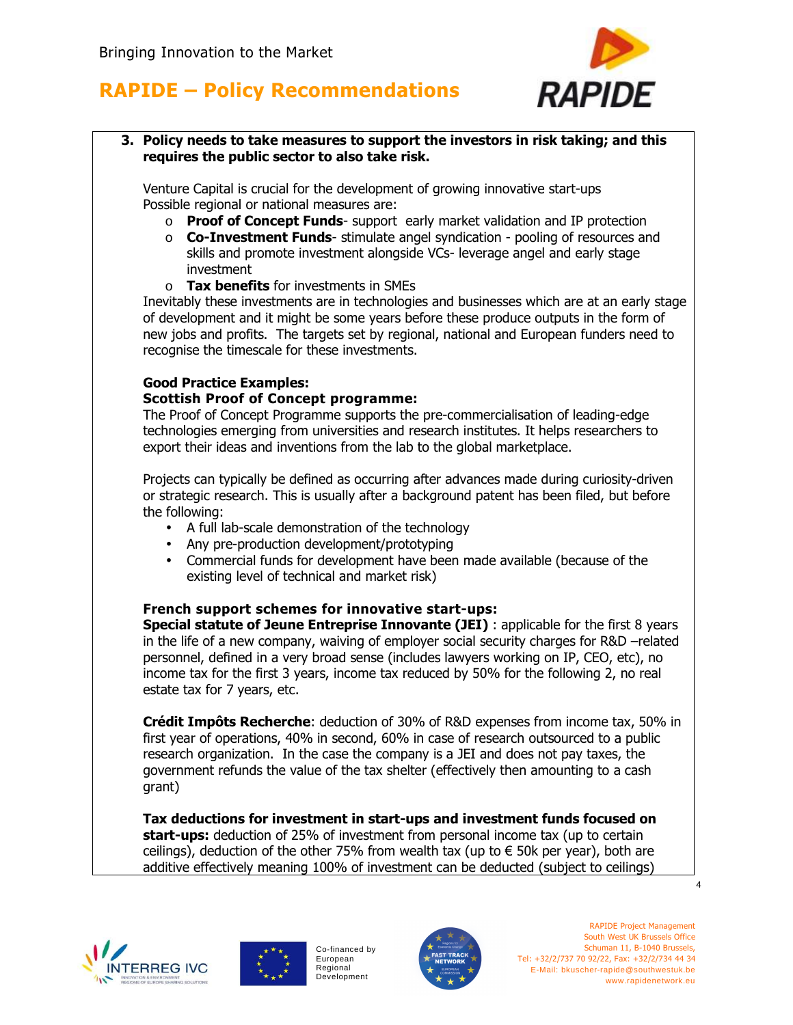

**3. Policy needs to take measures to support the investors in risk taking; and this requires the public sector to also take risk.** 

Venture Capital is crucial for the development of growing innovative start-ups Possible regional or national measures are:

- o **Proof of Concept Funds** support early market validation and IP protection
- o **Co-Investment Funds** stimulate angel syndication pooling of resources and skills and promote investment alongside VCs- leverage angel and early stage investment
- o **Tax benefits** for investments in SMEs

Inevitably these investments are in technologies and businesses which are at an early stage of development and it might be some years before these produce outputs in the form of new jobs and profits. The targets set by regional, national and European funders need to recognise the timescale for these investments.

#### **Good Practice Examples: Scottish Proof of Concept programme:**

The Proof of Concept Programme supports the pre-commercialisation of leading-edge technologies emerging from universities and research institutes. It helps researchers to export their ideas and inventions from the lab to the global marketplace.

Projects can typically be defined as occurring after advances made during curiosity-driven or strategic research. This is usually after a background patent has been filed, but before the following:

- A full lab-scale demonstration of the technology
- Any pre-production development/prototyping
- Commercial funds for development have been made available (because of the existing level of technical and market risk)

#### **French support schemes for innovative start-ups:**

**Special statute of Jeune Entreprise Innovante (JEI)** : applicable for the first 8 years in the life of a new company, waiving of employer social security charges for R&D –related personnel, defined in a very broad sense (includes lawyers working on IP, CEO, etc), no income tax for the first 3 years, income tax reduced by 50% for the following 2, no real estate tax for 7 years, etc.

**Crédit Impôts Recherche**: deduction of 30% of R&D expenses from income tax, 50% in first year of operations, 40% in second, 60% in case of research outsourced to a public research organization. In the case the company is a JEI and does not pay taxes, the government refunds the value of the tax shelter (effectively then amounting to a cash grant)

**Tax deductions for investment in start-ups and investment funds focused on start-ups:** deduction of 25% of investment from personal income tax (up to certain ceilings), deduction of the other 75% from wealth tax (up to  $\epsilon$  50k per year), both are additive effectively meaning 100% of investment can be deducted (subject to ceilings)





Co-financed by European Regional Development



4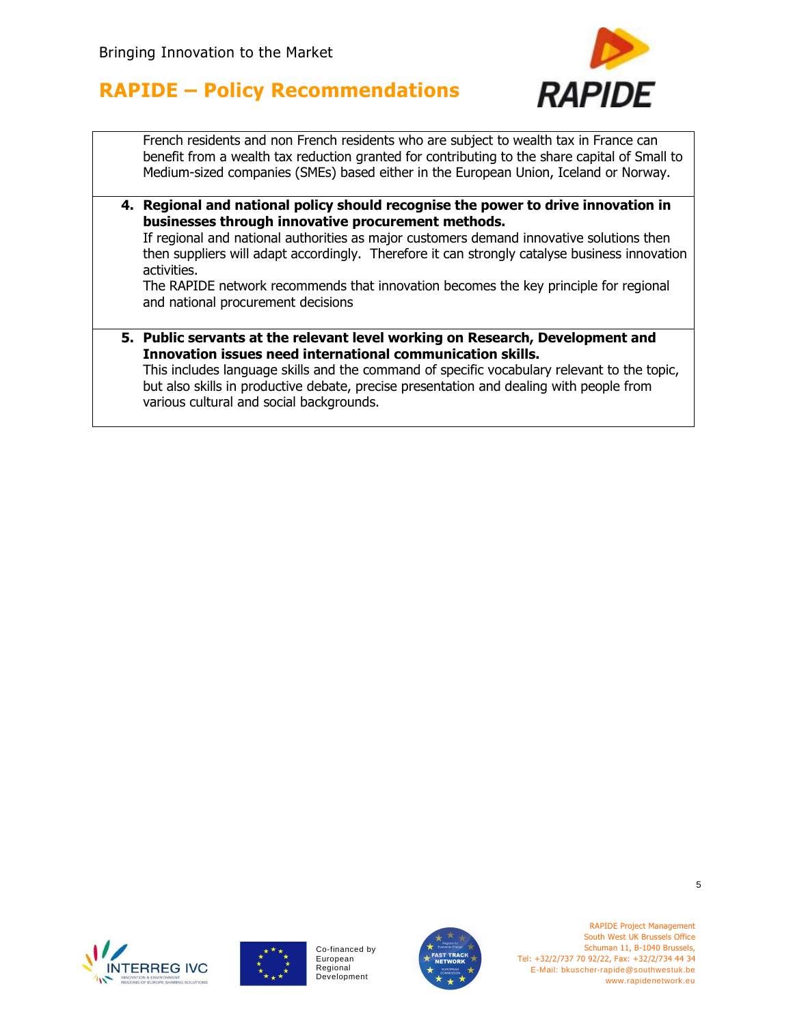

French residents and non French residents who are subject to wealth tax in France can benefit from a wealth tax reduction granted for contributing to the share capital of Small to Medium-sized companies (SMEs) based either in the European Union, Iceland or Norway.

**4. Regional and national policy should recognise the power to drive innovation in businesses through innovative procurement methods.** 

If regional and national authorities as major customers demand innovative solutions then then suppliers will adapt accordingly. Therefore it can strongly catalyse business innovation activities.

The RAPIDE network recommends that innovation becomes the key principle for regional and national procurement decisions

**5. Public servants at the relevant level working on Research, Development and Innovation issues need international communication skills.** 

This includes language skills and the command of specific vocabulary relevant to the topic, but also skills in productive debate, precise presentation and dealing with people from various cultural and social backgrounds.





Co-financed by European Regional Development



RAPIDE Project Management South West UK Brussels Office Schuman 11, B-1040 Brussels, Tel: +32/2/737 70 92/22, Fax: +32/2/734 44 34 E-Mail: bkuscher-rapide@southwestuk.be www.rapidenetwork.eu

5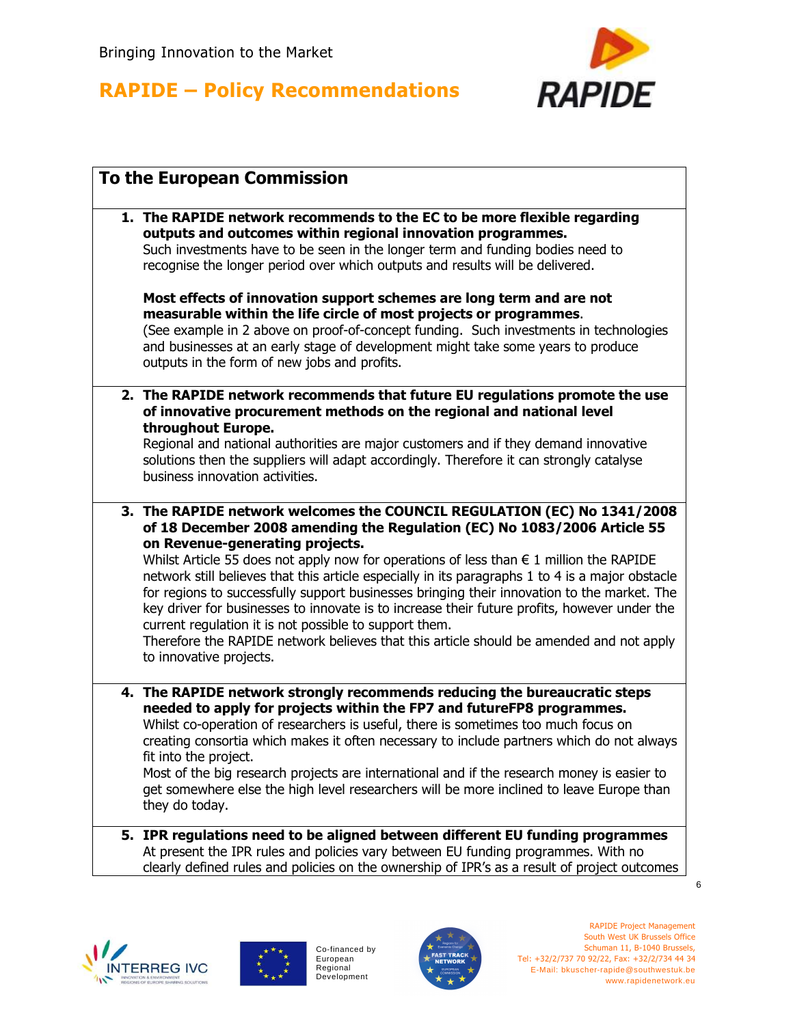

| <b>To the European Commission</b> |                                                                                                                                                                                                                                                                                                                                                                                                                                                                                                                                                                                                                                                                                                                                                                               |  |
|-----------------------------------|-------------------------------------------------------------------------------------------------------------------------------------------------------------------------------------------------------------------------------------------------------------------------------------------------------------------------------------------------------------------------------------------------------------------------------------------------------------------------------------------------------------------------------------------------------------------------------------------------------------------------------------------------------------------------------------------------------------------------------------------------------------------------------|--|
|                                   | 1. The RAPIDE network recommends to the EC to be more flexible regarding<br>outputs and outcomes within regional innovation programmes.<br>Such investments have to be seen in the longer term and funding bodies need to<br>recognise the longer period over which outputs and results will be delivered.<br>Most effects of innovation support schemes are long term and are not<br>measurable within the life circle of most projects or programmes.<br>(See example in 2 above on proof-of-concept funding. Such investments in technologies<br>and businesses at an early stage of development might take some years to produce<br>outputs in the form of new jobs and profits.                                                                                          |  |
|                                   | 2. The RAPIDE network recommends that future EU regulations promote the use<br>of innovative procurement methods on the regional and national level<br>throughout Europe.<br>Regional and national authorities are major customers and if they demand innovative<br>solutions then the suppliers will adapt accordingly. Therefore it can strongly catalyse<br>business innovation activities.                                                                                                                                                                                                                                                                                                                                                                                |  |
|                                   | 3. The RAPIDE network welcomes the COUNCIL REGULATION (EC) No 1341/2008<br>of 18 December 2008 amending the Regulation (EC) No 1083/2006 Article 55<br>on Revenue-generating projects.<br>Whilst Article 55 does not apply now for operations of less than $\epsilon$ 1 million the RAPIDE<br>network still believes that this article especially in its paragraphs 1 to 4 is a major obstacle<br>for regions to successfully support businesses bringing their innovation to the market. The<br>key driver for businesses to innovate is to increase their future profits, however under the<br>current regulation it is not possible to support them.<br>Therefore the RAPIDE network believes that this article should be amended and not apply<br>to innovative projects. |  |
|                                   | 4. The RAPIDE network strongly recommends reducing the bureaucratic steps<br>needed to apply for projects within the FP7 and futureFP8 programmes.<br>Whilst co-operation of researchers is useful, there is sometimes too much focus on<br>creating consortia which makes it often necessary to include partners which do not always<br>fit into the project.<br>Most of the big research projects are international and if the research money is easier to<br>get somewhere else the high level researchers will be more inclined to leave Europe than<br>they do today.                                                                                                                                                                                                    |  |
|                                   | 5. IPR regulations need to be aligned between different EU funding programmes<br>At present the IPR rules and policies vary between EU funding programmes. With no<br>clearly defined rules and policies on the ownership of IPR's as a result of project outcomes                                                                                                                                                                                                                                                                                                                                                                                                                                                                                                            |  |